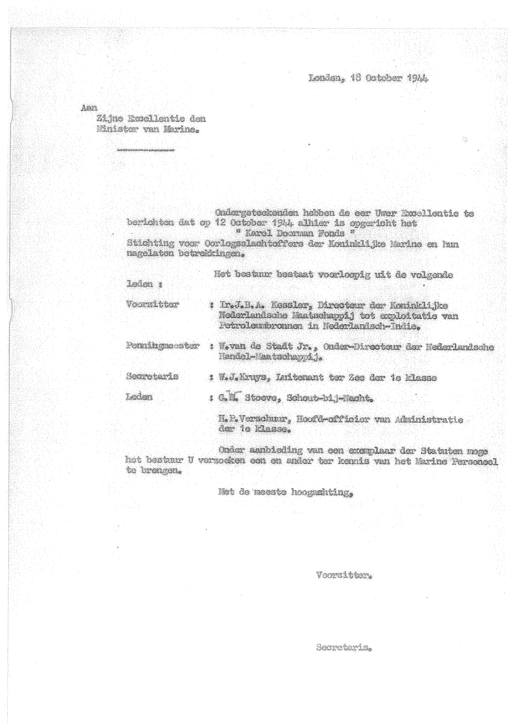Londen, 18 October 1944.

Aan

Zijne Excellentie den Minister van Marine.

> Ondergeteekenden hebben de eer Uwer Excellentie te berichten dat op 12 October 1944 alhier is opgericht het " Karel Doorman Fonds " Stichting voor Oorlogsslachteffers der Koninklijke Marine en hun magelaten betrekkingen.

Het bestuur bestaat voorloopig uit de volgende laden : Voorzitter : Ir.J.B.A. Kessler, Directeur der Koninklijke Noderlandsche Naatschappij tot exploitatie van Petroleumbronnen in Nederlandsch-Indie. Penningmeestor : W.van de Stadt Jr., Onder-Directeur der Nederlandsche Handel-Maatschannij. Secretaris : W.J.Kruys, Initenant ter Zee der 1e klasse : G.M. Stoeve, Schout-bi, -Nacht. Leden H.P. Verschuur, Hoofd-offisier van Administratie der 1e klasse.

Onder aanbieding van een exemplaar der Statuten moge het bestuur U verzoeken een en ander ter kennis van het Marine Personsel te brengen.

Mot de meeste hoogamhting,

Voorzitter.

Seorctaris.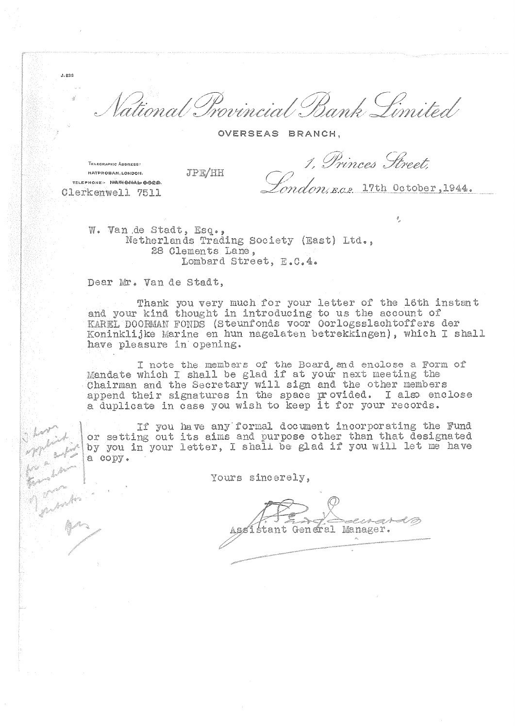ial Bank Limited Vational Provinc

OVERSEAS BRANCH.

TELEGRAPHIC Annoves: NATPROBAN, LONDON. TELEPHONE: NATHONAL GOOD.

**JPE/HH** 

Clerkenwell 7511

 $J.836$ 

1, Princes Street ndon, e.c.2. 17th October, 1944.

 $\hat{q}$ 

W. Van de Stadt, Esq., Netherlands Trading Society (East) Ltd., 28 Glements Lane, Lombard Street, E.C.4.

Dear Mr. Van de Stadt,

Thank you very much for your letter of the 16th instant and your kind thought in introducing to us the account of KAREL DOORMAN FONDS (Steunfonds voor Oorlogsslachtoffers der Koninklijke Marine en hun nagelaten betrekkingen), which I shall have pleasure in opening.

I note the members of the Board and enclose a Form of Mandate which I shall be glad if at your next meeting the Chairman and the Secretary will sign and the other members append their signatures in the space provided. I also enclose a duplicate in case you wish to keep it for your records.

If you have any formal document incorporating the Fund or setting out its aims and purpose other than that designated<br>by you in your letter, I shall be glad if you will let me have a copy.

Yours sincerely,

CARNS O Assistant General Manager.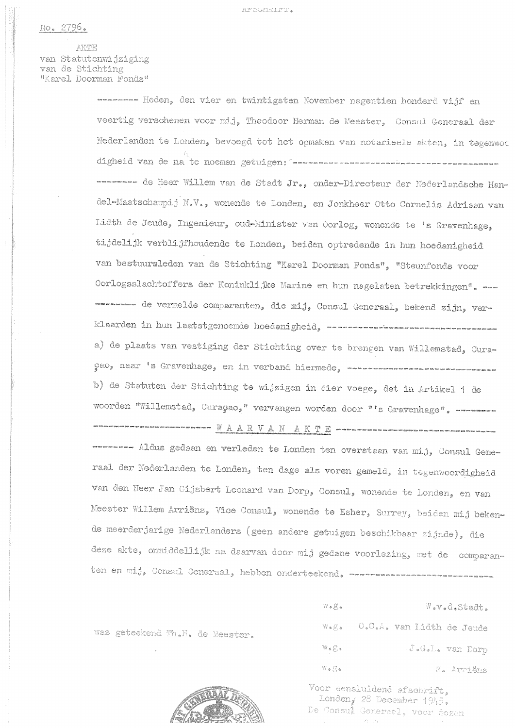No. 2796.

AKTE van Statutenwijziging van de Stichting "Karel Doorman Fonds"

> ---------- Heden, den vier en twintigsten November negentien honderd vijf en veertig verschenen voor mij, Theodoor Herman de Meester, Consul Generaal der Nederlanden te Londen, bevoegd tot het opmaken van notarieele akten, in tegenwoo digheid van de na te noemen getuigen: soorsenaarde maarden van de van de van de -------- de Heer Willem van de Stadt Jr., onder-Directeur der Nederlandsche Handel-Maatschappij N.V., wonende te Londen, en Jonkheer Otto Cornelis Adriaan van Lidth de Jeude, Ingenieur, oud-Minister van Oorlog, wonende te 's Gravenhage, tijdelijk verblijfhoudende te Londen, beiden optredende in hun hoedenigheid van bestuursleden van de Stichting "Karel Doorman Fonds", "Steunfonds voor Oorlogsslachtoffers der Koninklijke Marine en hun nagelaten betrekkingen". --------- de vermelde comparanten, die mij, Consul Generaal, bekend zijn, ver-a) de plaats van vestiging der Stichting over te brengen van Willemstad, Curaçao, naar 's Gravenhage, en in verband hiermede, soorsaarvanse van de van de b) de Statuten der Stichting te wijzigen in dier voege, dat in Artikel 1 de woorden "Willemstad, Curaçao," vervangen worden door "'s Gravenhage", --------------- Aldus gedaan en verleden te Londen ten overstaan van mij, Consul Generaal der Nederlanden te Londen, ten dage als voren gemeld, in tegenwoordigheid van den Heer Jan Gijsbert Leonard van Dorp, Consul, wonende te Londen, en van Meester Willem Arriëns, Vice Consul, wonende te Esher, Surrey, beiden mij bekende meerderjarige Nederlanders (geen andere getuigen beschikbaar zijnde), die deze akte, onmiddellijk na daarvan door mij gedane voorlezing, met de comparanten en mij, Consul Generaal, hebben onderteekend. ----------------------------

was geteekend Th.H. de Meester.

 $W \bullet \mathcal{L} \bullet$ W.v.d.Stadt. W.g. 0.0.A. van Lidth de Jeude J.G.L. van Dorp  $W \bullet E \bullet$  $\mathbb{W} \bullet \mathcal{g} \bullet$ W. Arriëns

Voor eensluidend afschrift, Londen, 28 December 1945. De Consui Generaal, voor dezen